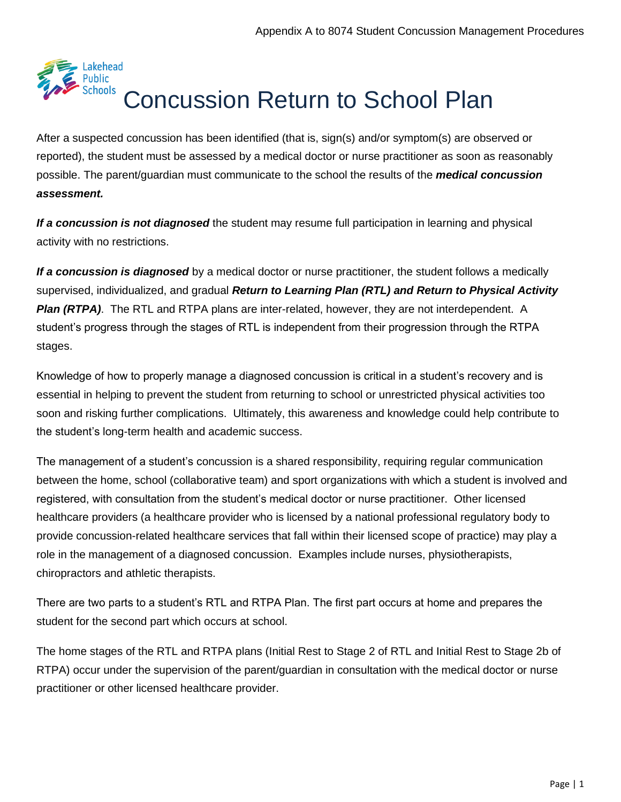

After a suspected concussion has been identified (that is, sign(s) and/or symptom(s) are observed or reported), the student must be assessed by a medical doctor or nurse practitioner as soon as reasonably possible. The parent/guardian must communicate to the school the results of the *[medical concussion](https://safety.ophea.net/tools-resources/sample-medical-concussion-assessment-form)  [assessment.](https://safety.ophea.net/tools-resources/sample-medical-concussion-assessment-form)*

*If a concussion is not diagnosed* the student may resume full participation in learning and physical activity with no restrictions.

*If a concussion is diagnosed* by a medical doctor or nurse practitioner, the student follows a medically supervised, individualized, and gradual *[Return to Learning Plan \(RTL\) a](https://safety.ophea.net/resources/812)nd [Return to](https://safety.ophea.net/resources/813) [Physical Activity](https://safety.ophea.net/resources/813)  [Plan \(RTPA\)](https://safety.ophea.net/resources/813)*. The RTL and RTPA plans are inter-related, however, they are not interdependent. A student's progress through the stages of RTL is independent from their progression through the RTPA stages.

Knowledge of how to properly manage a diagnosed concussion is critical in a student's recovery and is essential in helping to prevent the student from returning to school or unrestricted physical activities too soon and risking further complications. Ultimately, this awareness and knowledge could help contribute to the student's long-term health and academic success.

The management of a student's concussion is a shared responsibility, requiring regular communication between the home, school (collaborative team) and sport organizations with which a student is involved and registered, with consultation from the student's medical doctor or nurse practitioner. Other licensed healthcare providers (a healthcare provider who is licensed by a national professional regulatory body to provide concussion-related healthcare services that fall within their licensed scope of practice) may play a role in the management of a diagnosed concussion. Examples include nurses, physiotherapists, chiropractors and athletic therapists.

There are two parts to a student's RTL and RTPA Plan. The first part occurs at home and prepares the student for the second part which occurs at school.

The home stages of the RTL and RTPA plans (Initial Rest to Stage 2 of RTL and Initial Rest to Stage 2b of RTPA) occur under the supervision of the parent/guardian in consultation with the medical doctor or nurse practitioner or other licensed healthcare provider.